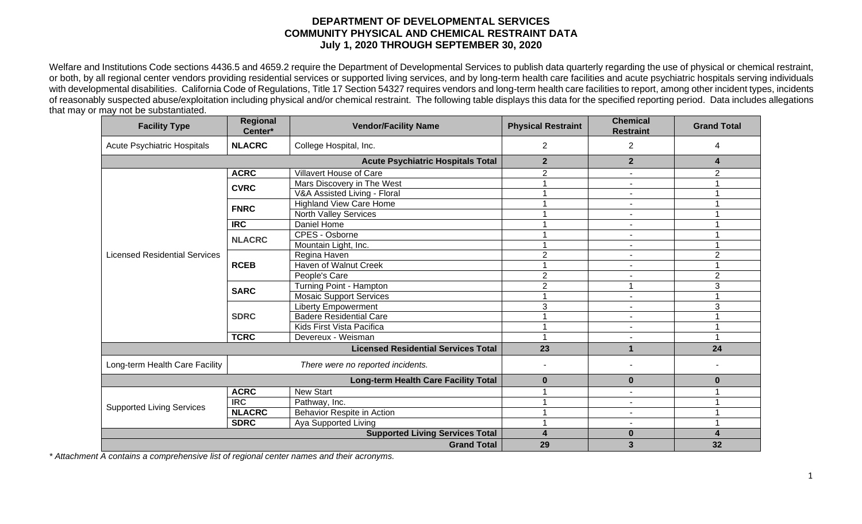## **DEPARTMENT OF DEVELOPMENTAL SERVICES COMMUNITY PHYSICAL AND CHEMICAL RESTRAINT DATA July 1, 2020 THROUGH SEPTEMBER 30, 2020**

Welfare and Institutions Code sections 4436.5 and 4659.2 require the Department of Developmental Services to publish data quarterly regarding the use of physical or chemical restraint, or both, by all regional center vendors providing residential services or supported living services, and by long-term health care facilities and acute psychiatric hospitals serving individuals with developmental disabilities. California Code of Regulations, Title 17 Section 54327 requires vendors and long-term health care facilities to report, among other incident types, incidents of reasonably suspected abuse/exploitation including physical and/or chemical restraint. The following table displays this data for the specified reporting period. Data includes allegations that may or may not be substantiated.

| <b>Facility Type</b>                        | Regional<br>Center*                    | <b>Vendor/Facility Name</b>    | <b>Physical Restraint</b> | <b>Chemical</b><br><b>Restraint</b> | <b>Grand Total</b> |
|---------------------------------------------|----------------------------------------|--------------------------------|---------------------------|-------------------------------------|--------------------|
| <b>Acute Psychiatric Hospitals</b>          | <b>NLACRC</b>                          | College Hospital, Inc.         | $\overline{c}$            | $\overline{2}$                      | 4                  |
| <b>Acute Psychiatric Hospitals Total</b>    |                                        |                                | $\mathbf{2}$              | $\overline{\mathbf{2}}$             | 4                  |
| <b>Licensed Residential Services</b>        | <b>ACRC</b>                            | Villavert House of Care        | $\overline{2}$            | $\overline{\phantom{a}}$            | $\overline{2}$     |
|                                             | <b>CVRC</b>                            | Mars Discovery in The West     |                           | $\blacksquare$                      |                    |
|                                             |                                        | V&A Assisted Living - Floral   |                           | $\overline{\phantom{a}}$            |                    |
|                                             | <b>FNRC</b>                            | <b>Highland View Care Home</b> |                           |                                     |                    |
|                                             |                                        | <b>North Valley Services</b>   |                           | $\blacksquare$                      |                    |
|                                             | <b>IRC</b>                             | Daniel Home                    |                           |                                     |                    |
|                                             | <b>NLACRC</b>                          | CPES - Osborne                 |                           | $\blacksquare$                      |                    |
|                                             |                                        | Mountain Light, Inc.           |                           | $\blacksquare$                      |                    |
|                                             | <b>RCEB</b>                            | Regina Haven                   | $\overline{2}$            | $\blacksquare$                      | $\overline{2}$     |
|                                             |                                        | <b>Haven of Walnut Creek</b>   |                           |                                     |                    |
|                                             |                                        | People's Care                  | $\overline{2}$            |                                     | $\overline{2}$     |
|                                             | <b>SARC</b>                            | Turning Point - Hampton        | $\overline{2}$            | 1                                   | 3                  |
|                                             |                                        | <b>Mosaic Support Services</b> |                           | $\blacksquare$                      |                    |
|                                             | <b>SDRC</b>                            | <b>Liberty Empowerment</b>     | 3                         | $\blacksquare$                      | 3                  |
|                                             |                                        | <b>Badere Residential Care</b> |                           | $\blacksquare$                      |                    |
|                                             |                                        | Kids First Vista Pacifica      |                           |                                     |                    |
|                                             | <b>TCRC</b>                            | Devereux - Weisman             |                           | $\blacksquare$                      |                    |
| <b>Licensed Residential Services Total</b>  |                                        |                                | 23                        |                                     | 24                 |
| Long-term Health Care Facility              | There were no reported incidents.      |                                |                           |                                     |                    |
| <b>Long-term Health Care Facility Total</b> |                                        |                                | $\bf{0}$                  | $\bf{0}$                            | $\bf{0}$           |
| <b>Supported Living Services</b>            | <b>ACRC</b>                            | <b>New Start</b>               |                           |                                     |                    |
|                                             | <b>IRC</b>                             | Pathway, Inc.                  |                           | $\blacksquare$                      |                    |
|                                             | <b>NLACRC</b>                          | Behavior Respite in Action     |                           | $\overline{\phantom{a}}$            |                    |
|                                             | <b>SDRC</b>                            | Aya Supported Living           |                           |                                     |                    |
|                                             | <b>Supported Living Services Total</b> | $\overline{\mathbf{4}}$        | $\bf{0}$                  |                                     |                    |
|                                             | <b>Grand Total</b>                     | 29                             | $\overline{\mathbf{3}}$   | 32                                  |                    |

*\* Attachment A contains a comprehensive list of regional center names and their acronyms.*